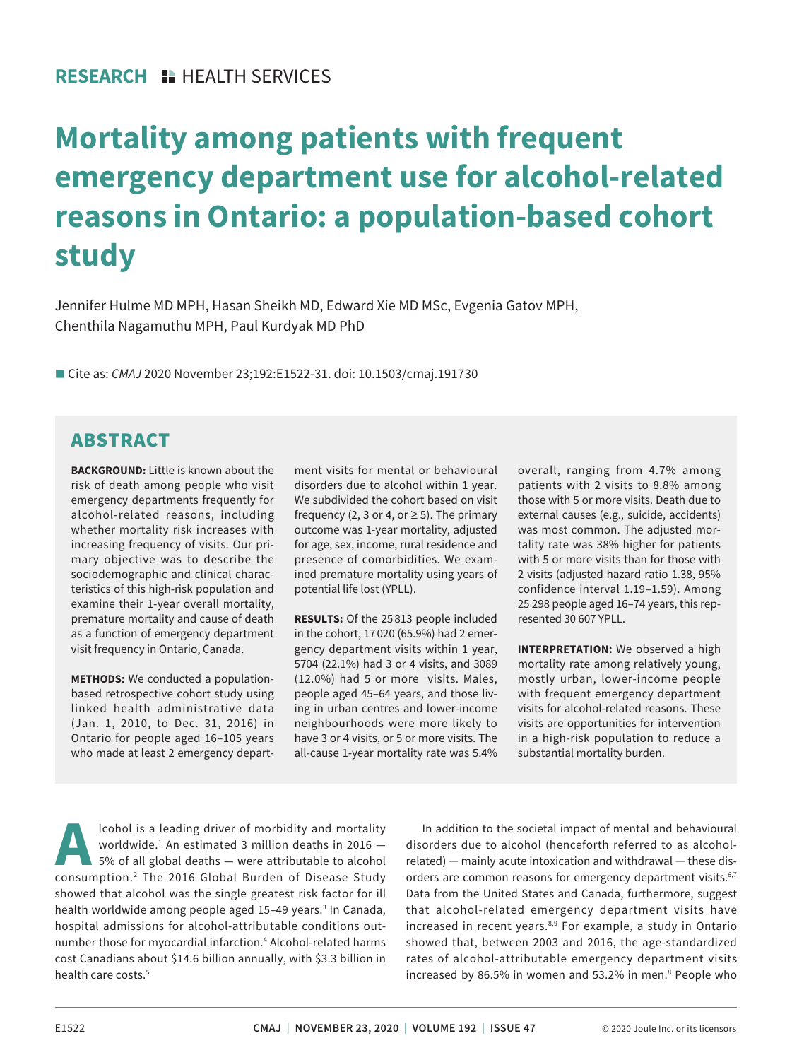# **Mortality among patients with frequent emergency department use for alcohol-related reasons in Ontario: a population-based cohort study**

Jennifer Hulme MD MPH, Hasan Sheikh MD, Edward Xie MD MSc, Evgenia Gatov MPH, Chenthila Nagamuthu MPH, Paul Kurdyak MD PhD

■ Cite as: *CMAJ* 2020 November 23;192:E1522-31. doi: 10.1503/cmaj.191730

# ABSTRACT

**BACKGROUND:** Little is known about the risk of death among people who visit emergency departments frequently for alcohol-related reasons, including whether mortality risk increases with increasing frequency of visits. Our primary objective was to describe the sociodemographic and clinical characteristics of this high-risk population and examine their 1-year overall mortality, premature mortality and cause of death as a function of emergency department visit frequency in Ontario, Canada.

**METHODS:** We conducted a populationbased retrospective cohort study using linked health administrative data (Jan. 1, 2010, to Dec. 31, 2016) in Ontario for people aged 16–105 years who made at least 2 emergency department visits for mental or behavioural disorders due to alcohol within 1 year. We subdivided the cohort based on visit frequency (2, 3 or 4, or  $\geq$  5). The primary outcome was 1-year mortality, adjusted for age, sex, income, rural residence and presence of comorbidities. We examined premature mortality using years of potential life lost (YPLL).

**RESULTS:** Of the 25 813 people included in the cohort, 17 020 (65.9%) had 2 emergency department visits within 1 year, 5704 (22.1%) had 3 or 4 visits, and 3089 (12.0%) had 5 or more visits. Males, people aged 45–64 years, and those living in urban centres and lower-income neighbourhoods were more likely to have 3 or 4 visits, or 5 or more visits. The all-cause 1-year mortality rate was 5.4% overall, ranging from 4.7% among patients with 2 visits to 8.8% among those with 5 or more visits. Death due to external causes (e.g., suicide, accidents) was most common. The adjusted mortality rate was 38% higher for patients with 5 or more visits than for those with 2 visits (adjusted hazard ratio 1.38, 95% confidence interval 1.19–1.59). Among 25 298 people aged 16–74 years, this represented 30 607 YPLL.

**INTERPRETATION:** We observed a high mortality rate among relatively young, mostly urban, lower-income people with frequent emergency department visits for alcohol-related reasons. These visits are opportunities for intervention in a high-risk population to reduce a substantial mortality burden.

**Alcohol is a leading driver of morbidity and mortality worldwide.<sup>1</sup> An estimated 3 million deaths in 2016 –<br>5% of all global deaths — were attributable to alcohol<br>consumption <sup>2</sup> The 2016 Global Burden of Disease Study** worldwide.1 An estimated 3 million deaths in 2016 — 5% of all global deaths — were attributable to alcohol consumption.2 The 2016 Global Burden of Disease Study showed that alcohol was the single greatest risk factor for ill health worldwide among people aged 15-49 years.<sup>3</sup> In Canada, hospital admissions for alcohol-attributable conditions outnumber those for myocardial infarction.<sup>4</sup> Alcohol-related harms cost Canadians about \$14.6 billion annually, with \$3.3 billion in health care costs.<sup>5</sup>

In addition to the societal impact of mental and behavioural disorders due to alcohol (henceforth referred to as alcoholrelated) — mainly acute intoxication and withdrawal — these disorders are common reasons for emergency department visits.<sup>6,7</sup> Data from the United States and Canada, furthermore, suggest that alcohol-related emergency department visits have increased in recent years.<sup>8,9</sup> For example, a study in Ontario showed that, between 2003 and 2016, the age-standardized rates of alcohol-attributable emergency department visits increased by 86.5% in women and 53.2% in men.<sup>8</sup> People who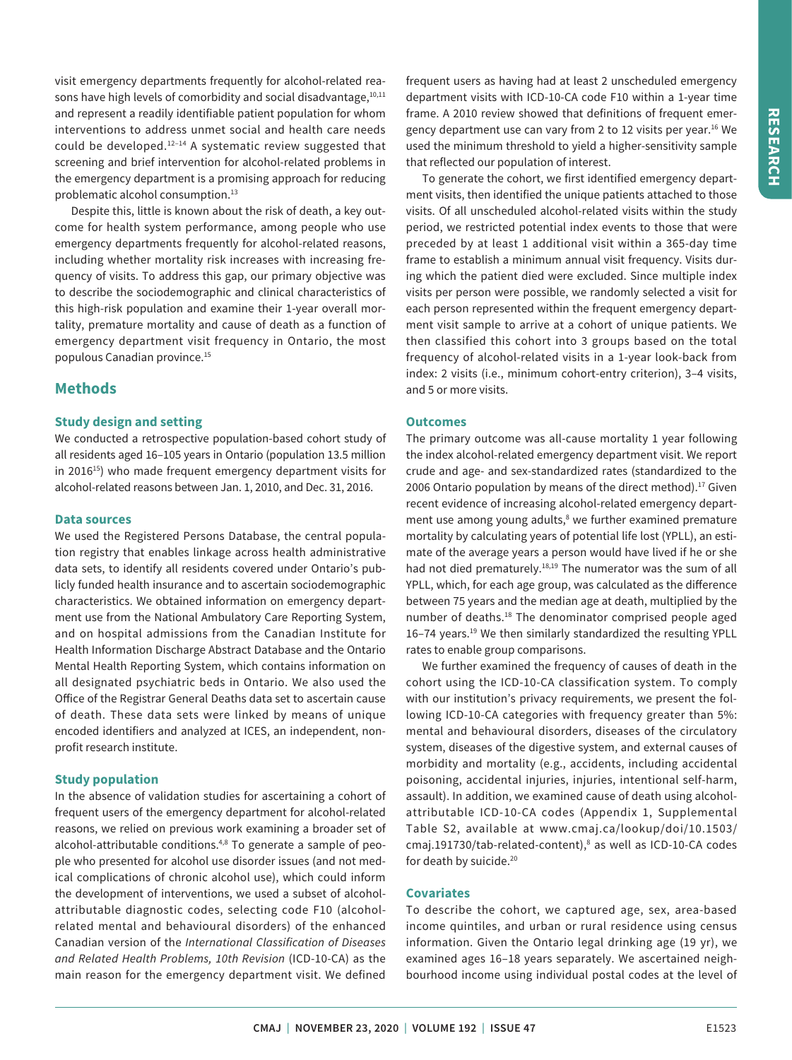visit emergency departments frequently for alcohol-related reasons have high levels of comorbidity and social disadvantage, 10,11 and represent a readily identifiable patient population for whom interventions to address unmet social and health care needs could be developed.12–14 A systematic review suggested that screening and brief intervention for alcohol-related problems in the emergency department is a promising approach for reducing problematic alcohol consumption.<sup>13</sup>

Despite this, little is known about the risk of death, a key outcome for health system performance, among people who use emergency departments frequently for alcohol-related reasons, including whether mortality risk increases with increasing frequency of visits. To address this gap, our primary objective was to describe the sociodemographic and clinical characteristics of this high-risk population and examine their 1-year overall mortality, premature mortality and cause of death as a function of emergency department visit frequency in Ontario, the most populous Canadian province.15

# **Methods**

### **Study design and setting**

We conducted a retrospective population-based cohort study of all residents aged 16–105 years in Ontario (population 13.5 million in 2016<sup>15</sup>) who made frequent emergency department visits for alcohol-related reasons between Jan. 1, 2010, and Dec. 31, 2016.

#### **Data sources**

We used the Registered Persons Database, the central population registry that enables linkage across health administrative data sets, to identify all residents covered under Ontario's publicly funded health insurance and to ascertain sociodemographic characteristics. We obtained information on emergency department use from the National Ambulatory Care Reporting System, and on hospital admissions from the Canadian Institute for Health Information Discharge Abstract Database and the Ontario Mental Health Reporting System, which contains information on all designated psychiatric beds in Ontario. We also used the Office of the Registrar General Deaths data set to ascertain cause of death. These data sets were linked by means of unique encoded identifiers and analyzed at ICES, an independent, nonprofit research institute.

#### **Study population**

In the absence of validation studies for ascertaining a cohort of frequent users of the emergency department for alcohol-related reasons, we relied on previous work examining a broader set of alcohol-attributable conditions.<sup>4,8</sup> To generate a sample of people who presented for alcohol use disorder issues (and not medical complications of chronic alcohol use), which could inform the development of interventions, we used a subset of alcoholattributable diagnostic codes, selecting code F10 (alcoholrelated mental and behavioural disorders) of the enhanced Canadian version of the *International Classification of Diseases and Related Health Problems, 10th Revision* (ICD-10-CA) as the main reason for the emergency department visit. We defined

frequent users as having had at least 2 unscheduled emergency department visits with ICD-10-CA code F10 within a 1-year time frame. A 2010 review showed that definitions of frequent emergency department use can vary from 2 to 12 visits per year.<sup>16</sup> We used the minimum threshold to yield a higher-sensitivity sample that reflected our population of interest.

To generate the cohort, we first identified emergency department visits, then identified the unique patients attached to those visits. Of all unscheduled alcohol-related visits within the study period, we restricted potential index events to those that were preceded by at least 1 additional visit within a 365-day time frame to establish a minimum annual visit frequency. Visits during which the patient died were excluded. Since multiple index visits per person were possible, we randomly selected a visit for each person represented within the frequent emergency department visit sample to arrive at a cohort of unique patients. We then classified this cohort into 3 groups based on the total frequency of alcohol-related visits in a 1-year look-back from index: 2 visits (i.e., minimum cohort-entry criterion), 3–4 visits, and 5 or more visits.

#### **Outcomes**

The primary outcome was all-cause mortality 1 year following the index alcohol-related emergency department visit. We report crude and age- and sex-standardized rates (standardized to the 2006 Ontario population by means of the direct method). $17$  Given recent evidence of increasing alcohol-related emergency department use among young adults,<sup>8</sup> we further examined premature mortality by calculating years of potential life lost (YPLL), an estimate of the average years a person would have lived if he or she had not died prematurely.<sup>18,19</sup> The numerator was the sum of all YPLL, which, for each age group, was calculated as the difference between 75 years and the median age at death, multiplied by the number of deaths.<sup>18</sup> The denominator comprised people aged 16–74 years.<sup>19</sup> We then similarly standardized the resulting YPLL rates to enable group comparisons.

We further examined the frequency of causes of death in the cohort using the ICD-10-CA classification system. To comply with our institution's privacy requirements, we present the following ICD-10-CA categories with frequency greater than 5%: mental and behavioural disorders, diseases of the circulatory system, diseases of the digestive system, and external causes of morbidity and mortality (e.g., accidents, including accidental poisoning, accidental injuries, injuries, intentional self-harm, assault). In addition, we examined cause of death using alcoholattributable ICD-10-CA codes (Appendix 1, Supplemental Table S2, available at www.cmaj.ca/lookup/doi/10.1503/ cmaj.191730/tab-related-content),<sup>8</sup> as well as ICD-10-CA codes for death by suicide.<sup>20</sup>

#### **Covariates**

To describe the cohort, we captured age, sex, area-based income quintiles, and urban or rural residence using census information. Given the Ontario legal drinking age (19 yr), we examined ages 16–18 years separately. We ascertained neighbourhood income using individual postal codes at the level of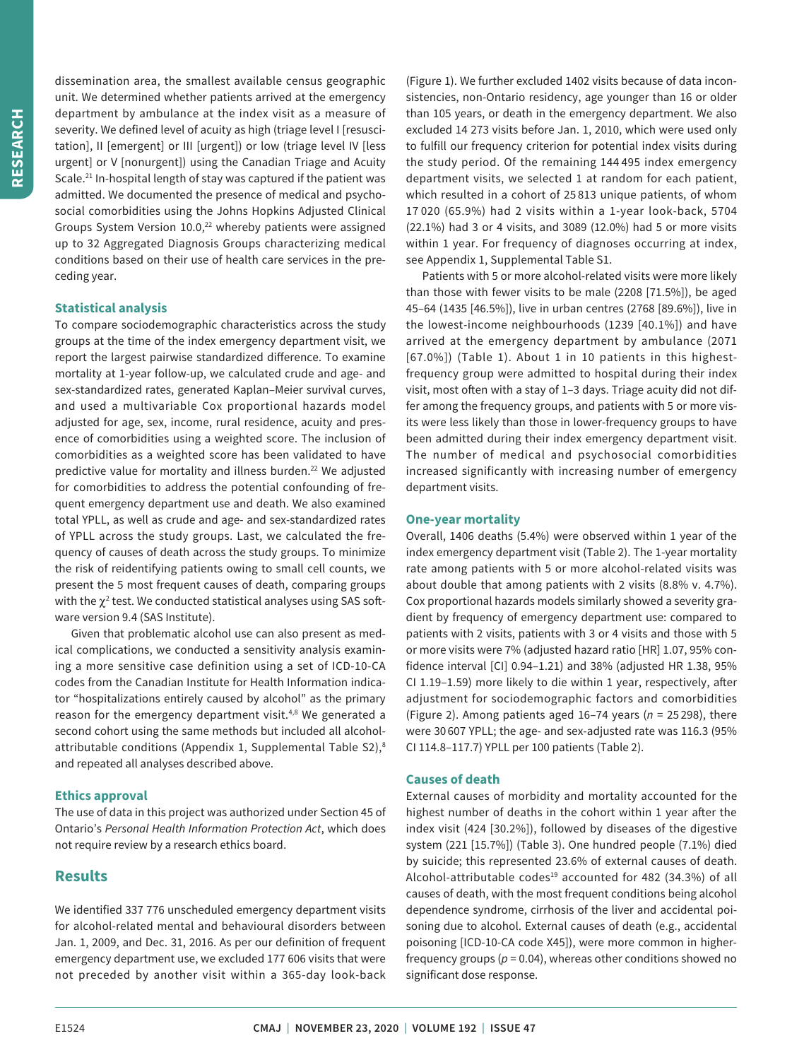dissemination area, the smallest available census geographic unit. We determined whether patients arrived at the emergency department by ambulance at the index visit as a measure of severity. We defined level of acuity as high (triage level I [resuscitation], II [emergent] or III [urgent]) or low (triage level IV [less urgent] or V [nonurgent]) using the Canadian Triage and Acuity Scale.<sup>21</sup> In-hospital length of stay was captured if the patient was admitted. We documented the presence of medical and psychosocial comorbidities using the Johns Hopkins Adjusted Clinical Groups System Version 10.0,<sup>22</sup> whereby patients were assigned up to 32 Aggregated Diagnosis Groups characterizing medical conditions based on their use of health care services in the preceding year.

## **Statistical analysis**

To compare sociodemographic characteristics across the study groups at the time of the index emergency department visit, we report the largest pairwise standardized difference. To examine mortality at 1-year follow-up, we calculated crude and age- and sex-standardized rates, generated Kaplan–Meier survival curves, and used a multivariable Cox proportional hazards model adjusted for age, sex, income, rural residence, acuity and presence of comorbidities using a weighted score. The inclusion of comorbidities as a weighted score has been validated to have predictive value for mortality and illness burden.<sup>22</sup> We adjusted for comorbidities to address the potential confounding of frequent emergency department use and death. We also examined total YPLL, as well as crude and age- and sex-standardized rates of YPLL across the study groups. Last, we calculated the frequency of causes of death across the study groups. To minimize the risk of reidentifying patients owing to small cell counts, we present the 5 most frequent causes of death, comparing groups with the  $\chi^2$  test. We conducted statistical analyses using SAS software version 9.4 (SAS Institute).

Given that problematic alcohol use can also present as medical complications, we conducted a sensitivity analysis examining a more sensitive case definition using a set of ICD-10-CA codes from the Canadian Institute for Health Information indicator "hospitalizations entirely caused by alcohol" as the primary reason for the emergency department visit.<sup>4,8</sup> We generated a second cohort using the same methods but included all alcoholattributable conditions (Appendix 1, Supplemental Table S2),<sup>8</sup> and repeated all analyses described above.

#### **Ethics approval**

The use of data in this project was authorized under Section 45 of Ontario's *Personal Health Information Protection Act*, which does not require review by a research ethics board.

# **Results**

We identified 337 776 unscheduled emergency department visits for alcohol-related mental and behavioural disorders between Jan. 1, 2009, and Dec. 31, 2016. As per our definition of frequent emergency department use, we excluded 177 606 visits that were not preceded by another visit within a 365-day look-back (Figure 1). We further excluded 1402 visits because of data inconsistencies, non-Ontario residency, age younger than 16 or older than 105 years, or death in the emergency department. We also excluded 14 273 visits before Jan. 1, 2010, which were used only to fulfill our frequency criterion for potential index visits during the study period. Of the remaining 144 495 index emergency department visits, we selected 1 at random for each patient, which resulted in a cohort of 25 813 unique patients, of whom 17 020 (65.9%) had 2 visits within a 1-year look-back, 5704 (22.1%) had 3 or 4 visits, and 3089 (12.0%) had 5 or more visits within 1 year. For frequency of diagnoses occurring at index, see Appendix 1, Supplemental Table S1.

Patients with 5 or more alcohol-related visits were more likely than those with fewer visits to be male (2208 [71.5%]), be aged 45–64 (1435 [46.5%]), live in urban centres (2768 [89.6%]), live in the lowest-income neighbourhoods (1239 [40.1%]) and have arrived at the emergency department by ambulance (2071 [67.0%]) (Table 1). About 1 in 10 patients in this highestfrequency group were admitted to hospital during their index visit, most often with a stay of 1–3 days. Triage acuity did not differ among the frequency groups, and patients with 5 or more visits were less likely than those in lower-frequency groups to have been admitted during their index emergency department visit. The number of medical and psychosocial comorbidities increased significantly with increasing number of emergency department visits.

#### **One-year mortality**

Overall, 1406 deaths (5.4%) were observed within 1 year of the index emergency department visit (Table 2). The 1-year mortality rate among patients with 5 or more alcohol-related visits was about double that among patients with 2 visits (8.8% v. 4.7%). Cox proportional hazards models similarly showed a severity gradient by frequency of emergency department use: compared to patients with 2 visits, patients with 3 or 4 visits and those with 5 or more visits were 7% (adjusted hazard ratio [HR] 1.07, 95% confidence interval [CI] 0.94–1.21) and 38% (adjusted HR 1.38, 95% CI 1.19–1.59) more likely to die within 1 year, respectively, after adjustment for sociodemographic factors and comorbidities (Figure 2). Among patients aged 16–74 years (*n* = 25 298), there were 30 607 YPLL; the age- and sex-adjusted rate was 116.3 (95% CI 114.8–117.7) YPLL per 100 patients (Table 2).

#### **Causes of death**

External causes of morbidity and mortality accounted for the highest number of deaths in the cohort within 1 year after the index visit (424 [30.2%]), followed by diseases of the digestive system (221 [15.7%]) (Table 3). One hundred people (7.1%) died by suicide; this represented 23.6% of external causes of death. Alcohol-attributable codes<sup>19</sup> accounted for 482 (34.3%) of all causes of death, with the most frequent conditions being alcohol dependence syndrome, cirrhosis of the liver and accidental poisoning due to alcohol. External causes of death (e.g., accidental poisoning [ICD-10-CA code X45]), were more common in higherfrequency groups ( $p = 0.04$ ), whereas other conditions showed no significant dose response.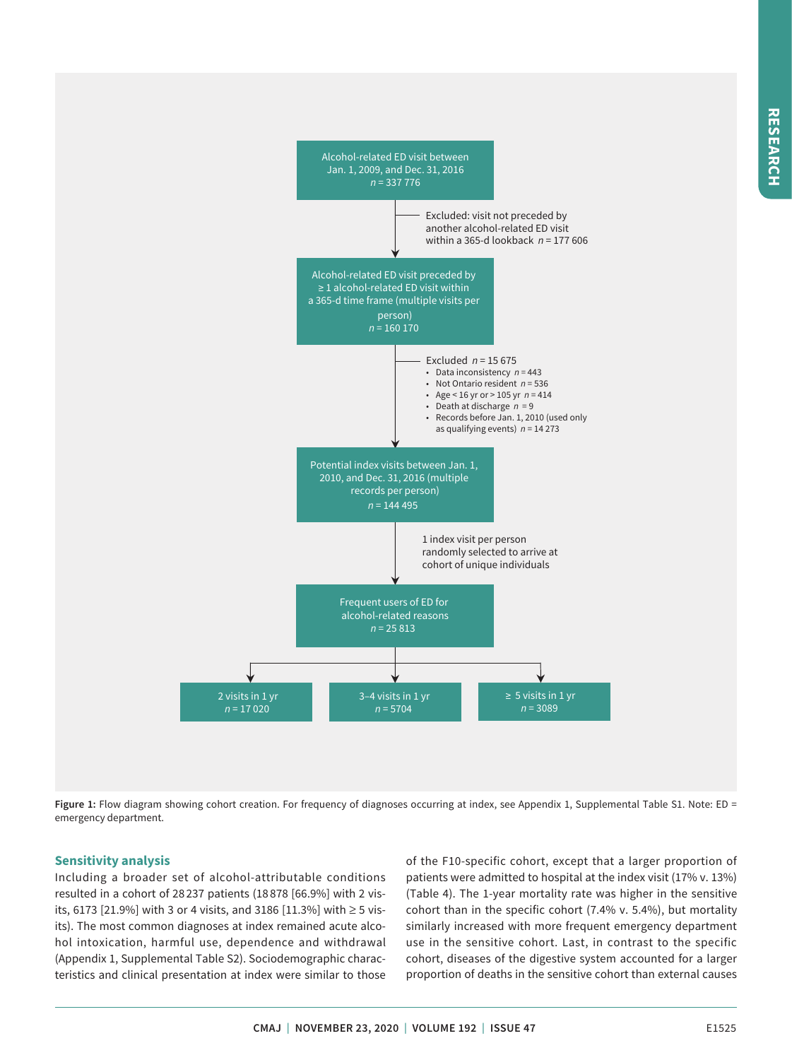

Figure 1: Flow diagram showing cohort creation. For frequency of diagnoses occurring at index, see Appendix 1, Supplemental Table S1. Note: ED = emergency department.

# **Sensitivity analysis**

Including a broader set of alcohol-attributable conditions resulted in a cohort of 28 237 patients (18 878 [66.9%] with 2 visits, 6173 [21.9%] with 3 or 4 visits, and 3186 [11.3%] with ≥ 5 visits). The most common diagnoses at index remained acute alcohol intoxication, harmful use, dependence and withdrawal (Appendix 1, Supplemental Table S2). Sociodemographic characteristics and clinical presentation at index were similar to those

of the F10-specific cohort, except that a larger proportion of patients were admitted to hospital at the index visit (17% v. 13%) (Table 4). The 1-year mortality rate was higher in the sensitive cohort than in the specific cohort (7.4% v. 5.4%), but mortality similarly increased with more frequent emergency department use in the sensitive cohort. Last, in contrast to the specific cohort, diseases of the digestive system accounted for a larger proportion of deaths in the sensitive cohort than external causes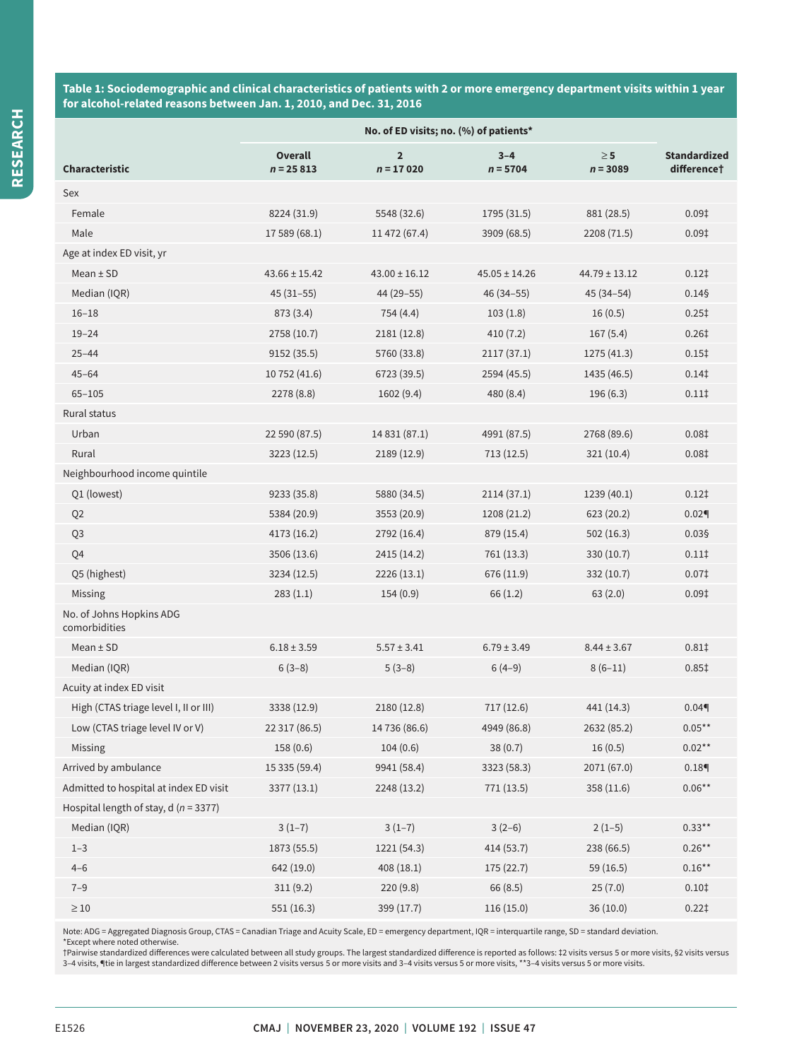**Table 1: Sociodemographic and clinical characteristics of patients with 2 or more emergency department visits within 1 year for alcohol-related reasons between Jan. 1, 2010, and Dec. 31, 2016**

|                                           | No. of ED visits; no. (%) of patients* |                               |                       |                        |                                                |  |
|-------------------------------------------|----------------------------------------|-------------------------------|-----------------------|------------------------|------------------------------------------------|--|
| <b>Characteristic</b>                     | <b>Overall</b><br>$n = 25813$          | $\overline{2}$<br>$n = 17020$ | $3 - 4$<br>$n = 5704$ | $\geq 5$<br>$n = 3089$ | <b>Standardized</b><br>difference <sup>+</sup> |  |
| Sex                                       |                                        |                               |                       |                        |                                                |  |
| Female                                    | 8224 (31.9)                            | 5548 (32.6)                   | 1795 (31.5)           | 881 (28.5)             | 0.09 <sup>†</sup>                              |  |
| Male                                      | 17 589 (68.1)                          | 11 472 (67.4)                 | 3909 (68.5)           | 2208 (71.5)            | 0.09 <sup>†</sup>                              |  |
| Age at index ED visit, yr                 |                                        |                               |                       |                        |                                                |  |
| $Mean \pm SD$                             | $43.66 \pm 15.42$                      | $43.00 \pm 16.12$             | $45.05 \pm 14.26$     | $44.79 \pm 13.12$      | $0.12$ <sup><math>\ddagger</math></sup>        |  |
| Median (IQR)                              | $45(31-55)$                            | 44 (29-55)                    | $46(34 - 55)$         | $45(34-54)$            | 0.145                                          |  |
| $16 - 18$                                 | 873 (3.4)                              | 754 (4.4)                     | 103(1.8)              | 16(0.5)                | 0.25 <sup>†</sup>                              |  |
| $19 - 24$                                 | 2758 (10.7)                            | 2181 (12.8)                   | 410(7.2)              | 167(5.4)               | 0.26 <sup>†</sup>                              |  |
| $25 - 44$                                 | 9152 (35.5)                            | 5760 (33.8)                   | 2117(37.1)            | 1275 (41.3)            | 0.15 <sup>†</sup>                              |  |
| $45 - 64$                                 | 10 752 (41.6)                          | 6723 (39.5)                   | 2594 (45.5)           | 1435 (46.5)            | 0.14                                           |  |
| $65 - 105$                                | 2278 (8.8)                             | 1602(9.4)                     | 480 (8.4)             | 196(6.3)               | 0.11                                           |  |
| Rural status                              |                                        |                               |                       |                        |                                                |  |
| Urban                                     | 22 590 (87.5)                          | 14 831 (87.1)                 | 4991 (87.5)           | 2768 (89.6)            | 0.081                                          |  |
| Rural                                     | 3223 (12.5)                            | 2189 (12.9)                   | 713(12.5)             | 321 (10.4)             | 0.08 <sup>†</sup>                              |  |
| Neighbourhood income quintile             |                                        |                               |                       |                        |                                                |  |
| Q1 (lowest)                               | 9233 (35.8)                            | 5880 (34.5)                   | 2114(37.1)            | 1239 (40.1)            | $0.12$ <sup><math>\ddagger</math></sup>        |  |
| Q <sub>2</sub>                            | 5384 (20.9)                            | 3553 (20.9)                   | 1208 (21.2)           | 623(20.2)              | 0.02                                           |  |
| Q <sub>3</sub>                            | 4173 (16.2)                            | 2792 (16.4)                   | 879 (15.4)            | 502 (16.3)             | $0.03$ §                                       |  |
| Q4                                        | 3506 (13.6)                            | 2415 (14.2)                   | 761 (13.3)            | 330 (10.7)             | 0.11                                           |  |
| Q5 (highest)                              | 3234 (12.5)                            | 2226 (13.1)                   | 676 (11.9)            | 332 (10.7)             | 0.07 <sup>‡</sup>                              |  |
| Missing                                   | 283(1.1)                               | 154(0.9)                      | 66(1.2)               | 63(2.0)                | 0.09 <sup>†</sup>                              |  |
| No. of Johns Hopkins ADG<br>comorbidities |                                        |                               |                       |                        |                                                |  |
| Mean $±$ SD                               | $6.18 \pm 3.59$                        | $5.57 \pm 3.41$               | $6.79 \pm 3.49$       | $8.44 \pm 3.67$        | 0.81                                           |  |
| Median (IQR)                              | $6(3-8)$                               | $5(3-8)$                      | $6(4-9)$              | $8(6-11)$              | $0.85$ <sup><math>\ddagger</math></sup>        |  |
| Acuity at index ED visit                  |                                        |                               |                       |                        |                                                |  |
| High (CTAS triage level I, II or III)     | 3338 (12.9)                            | 2180 (12.8)                   | 717 (12.6)            | 441 (14.3)             | 0.04                                           |  |
| Low (CTAS triage level IV or V)           | 22 317 (86.5)                          | 14 736 (86.6)                 | 4949 (86.8)           | 2632 (85.2)            | $0.05***$                                      |  |
| Missing                                   | 158 (0.6)                              | 104(0.6)                      | 38(0.7)               | 16(0.5)                | $0.02**$                                       |  |
| Arrived by ambulance                      | 15 335 (59.4)                          | 9941 (58.4)                   | 3323 (58.3)           | 2071 (67.0)            | 0.18                                           |  |
| Admitted to hospital at index ED visit    | 3377 (13.1)                            | 2248 (13.2)                   | 771 (13.5)            | 358 (11.6)             | $0.06**$                                       |  |
| Hospital length of stay, d ( $n = 3377$ ) |                                        |                               |                       |                        |                                                |  |
| Median (IQR)                              | $3(1-7)$                               | $3(1-7)$                      | $3(2-6)$              | $2(1-5)$               | $0.33**$                                       |  |
| $1 - 3$                                   | 1873 (55.5)                            | 1221 (54.3)                   | 414 (53.7)            | 238 (66.5)             | $0.26**$                                       |  |
| $4 - 6$                                   | 642 (19.0)                             | 408(18.1)                     | 175 (22.7)            | 59 (16.5)              | $0.16***$                                      |  |
| $7 - 9$                                   | 311(9.2)                               | 220(9.8)                      | 66(8.5)               | 25(7.0)                | 0.101                                          |  |
| $\geq 10$                                 | 551 (16.3)                             | 399 (17.7)                    | 116 (15.0)            | 36 (10.0)              | 0.221                                          |  |

Note: ADG = Aggregated Diagnosis Group, CTAS = Canadian Triage and Acuity Scale, ED = emergency department, IQR = interquartile range, SD = standard deviation.

\*Except where noted otherwise.<br>†Pairwise standardized differences were calculated between all study groups. The largest standardized difference is reported as follows: ‡2 visits versus 5 or more visits,§2 visits versus 3–4 visits, ¶tie in largest standardized difference between 2 visits versus 5 or more visits and 3–4 visits versus 5 or more visits, \*\*3–4 visits versus 5 or more visits.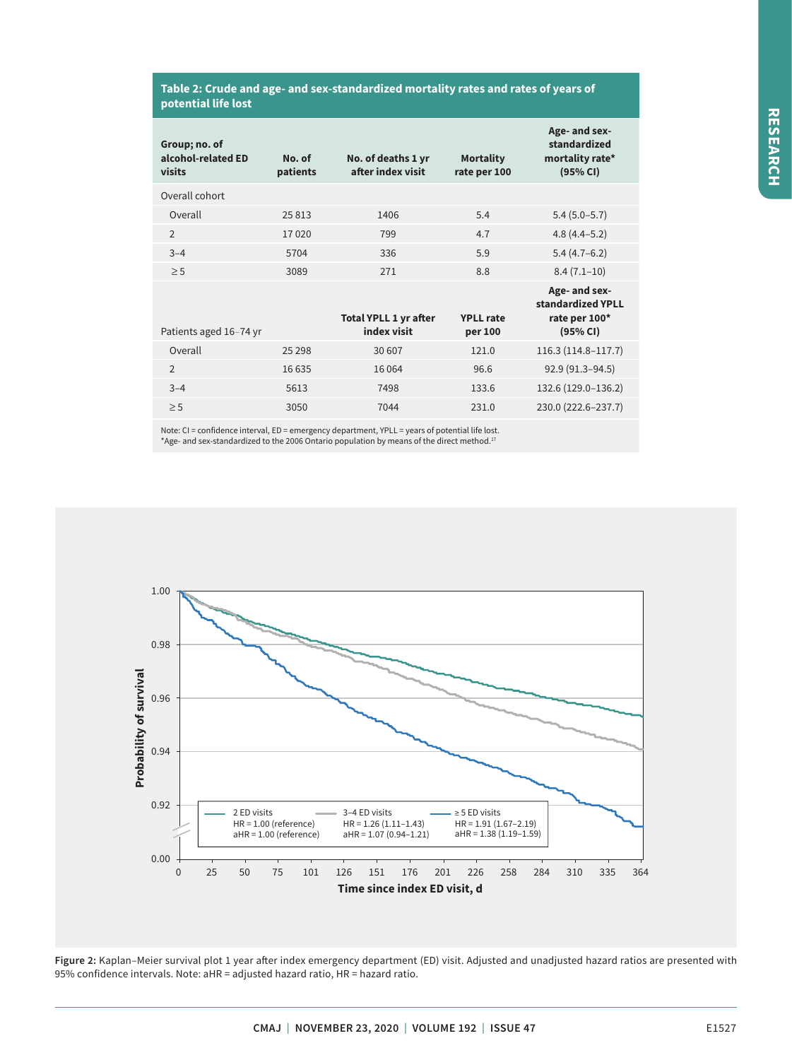#### **Table 2: Crude and age- and sex-standardized mortality rates and rates of years of potential life lost**

| Group; no. of<br>alcohol-related ED<br>visits | No. of<br>patients | No. of deaths 1 yr<br>after index visit     | <b>Mortality</b><br>rate per 100 | Age- and sex-<br>standardized<br>mortality rate*<br>(95% CI)    |
|-----------------------------------------------|--------------------|---------------------------------------------|----------------------------------|-----------------------------------------------------------------|
| Overall cohort                                |                    |                                             |                                  |                                                                 |
| Overall                                       | 25813              | 1406                                        | 5.4                              | $5.4(5.0-5.7)$                                                  |
| $\overline{2}$                                | 17020              | 799                                         | 4.7                              | $4.8(4.4 - 5.2)$                                                |
| $3 - 4$                                       | 5704               | 336                                         | 5.9                              | $5.4(4.7-6.2)$                                                  |
| $\geq$ 5                                      | 3089               | 271                                         | 8.8                              | $8.4(7.1-10)$                                                   |
| Patients aged 16-74 yr                        |                    | <b>Total YPLL 1 yr after</b><br>index visit | <b>YPLL</b> rate<br>per 100      | Age- and sex-<br>standardized YPLL<br>rate per 100*<br>(95% CI) |
| Overall                                       | 25 2 98            | 30 607                                      | 121.0                            | 116.3 (114.8-117.7)                                             |
| $\mathcal{P}$                                 | 16 635             | 16 0 64                                     | 96.6                             | 92.9 (91.3-94.5)                                                |
| $3 - 4$                                       | 5613               | 7498                                        | 133.6                            | 132.6 (129.0-136.2)                                             |
| $\geq$ 5                                      | 3050               | 7044                                        | 231.0                            | 230.0 (222.6-237.7)                                             |

Note: CI = confidence interval, ED = emergency department, YPLL = years of potential life lost. \*Age- and sex-standardized to the 2006 Ontario population by means of the direct method.17



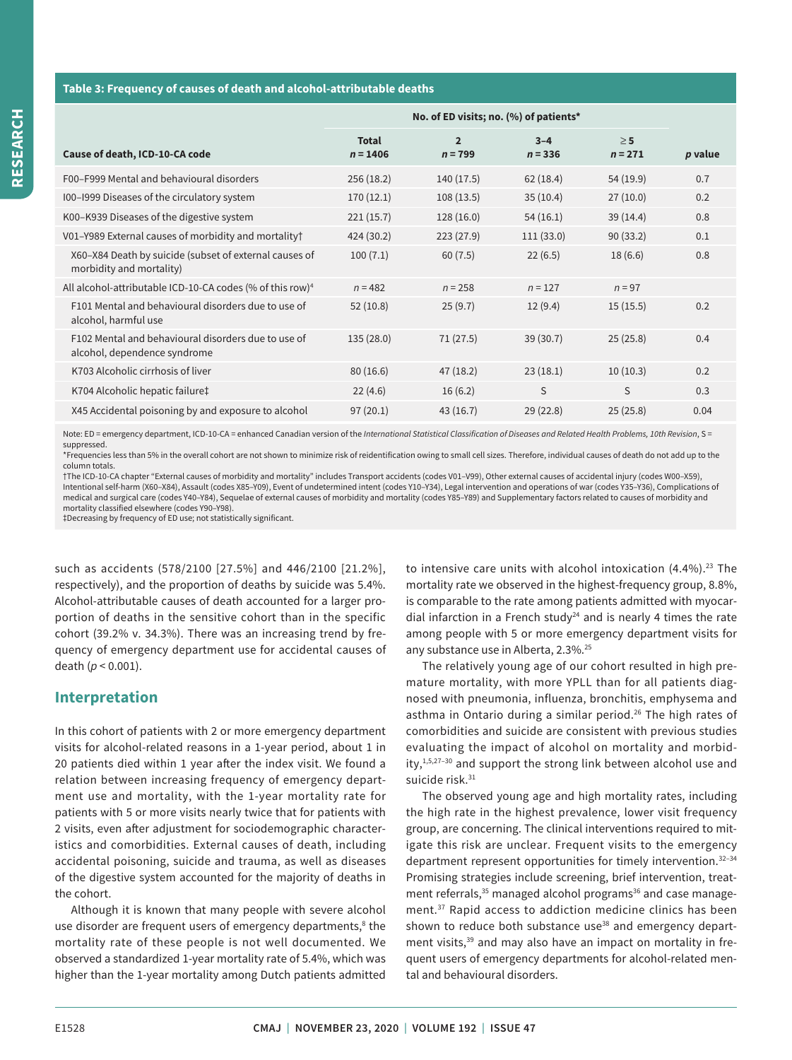#### **Table 3: Frequency of causes of death and alcohol-attributable deaths**

|                                                                                     | No. of ED visits; no. (%) of patients* |                             |                      |                       |         |
|-------------------------------------------------------------------------------------|----------------------------------------|-----------------------------|----------------------|-----------------------|---------|
| Cause of death, ICD-10-CA code                                                      | <b>Total</b><br>$n = 1406$             | $\overline{2}$<br>$n = 799$ | $3 - 4$<br>$n = 336$ | $\geq 5$<br>$n = 271$ | p value |
| F00-F999 Mental and behavioural disorders                                           | 256(18.2)                              | 140(17.5)                   | 62(18.4)             | 54 (19.9)             | 0.7     |
| I00-I999 Diseases of the circulatory system                                         | 170(12.1)                              | 108(13.5)                   | 35(10.4)             | 27(10.0)              | 0.2     |
| K00-K939 Diseases of the digestive system                                           | 221(15.7)                              | 128 (16.0)                  | 54(16.1)             | 39(14.4)              | 0.8     |
| V01-Y989 External causes of morbidity and mortality†                                | 424 (30.2)                             | 223(27.9)                   | 111(33.0)            | 90(33.2)              | 0.1     |
| X60-X84 Death by suicide (subset of external causes of<br>morbidity and mortality)  | 100(7.1)                               | 60(7.5)                     | 22(6.5)              | 18(6.6)               | 0.8     |
| All alcohol-attributable ICD-10-CA codes (% of this row) <sup>4</sup>               | $n = 482$                              | $n = 258$                   | $n = 127$            | $n = 97$              |         |
| F101 Mental and behavioural disorders due to use of<br>alcohol, harmful use         | 52(10.8)                               | 25(9.7)                     | 12(9.4)              | 15(15.5)              | 0.2     |
| F102 Mental and behavioural disorders due to use of<br>alcohol, dependence syndrome | 135 (28.0)                             | 71(27.5)                    | 39(30.7)             | 25(25.8)              | 0.4     |
| K703 Alcoholic cirrhosis of liver                                                   | 80(16.6)                               | 47(18.2)                    | 23(18.1)             | 10(10.3)              | 0.2     |
| K704 Alcoholic hepatic failure‡                                                     | 22(4.6)                                | 16(6.2)                     | S                    | S                     | 0.3     |
| X45 Accidental poisoning by and exposure to alcohol                                 | 97(20.1)                               | 43(16.7)                    | 29(22.8)             | 25(25.8)              | 0.04    |

Note: ED = emergency department, ICD-10-CA = enhanced Canadian version of the International Statistical Classification of Diseases and Related Health Problems, 10th Revision, S = suppressed.

\*Frequencies less than 5% in the overall cohort are not shown to minimize risk of reidentification owing to small cell sizes. Therefore, individual causes of death do not add up to the column totals.

†The ICD-10-CA chapter "External causes of morbidity and mortality" includes Transport accidents (codes V01–V99), Other external causes of accidental injury (codes W00–X59), Intentional self-harm (X60–X84), Assault (codes X85–Y09), Event of undetermined intent (codes Y10–Y34), Legal intervention and operations of war (codes Y35–Y36), Complications of medical and surgical care (codes Y40–Y84), Sequelae of external causes of morbidity and mortality (codes Y85–Y89) and Supplementary factors related to causes of morbidity and mortality classified elsewhere (codes Y90–Y98).

‡Decreasing by frequency of ED use; not statistically significant.

such as accidents (578/2100 [27.5%] and 446/2100 [21.2%], respectively), and the proportion of deaths by suicide was 5.4%. Alcohol-attributable causes of death accounted for a larger proportion of deaths in the sensitive cohort than in the specific cohort (39.2% v. 34.3%). There was an increasing trend by frequency of emergency department use for accidental causes of death (*p* < 0.001).

# **Interpretation**

In this cohort of patients with 2 or more emergency department visits for alcohol-related reasons in a 1-year period, about 1 in 20 patients died within 1 year after the index visit. We found a relation between increasing frequency of emergency department use and mortality, with the 1-year mortality rate for patients with 5 or more visits nearly twice that for patients with 2 visits, even after adjustment for sociodemographic characteristics and comorbidities. External causes of death, including accidental poisoning, suicide and trauma, as well as diseases of the digestive system accounted for the majority of deaths in the cohort.

Although it is known that many people with severe alcohol use disorder are frequent users of emergency departments,<sup>8</sup> the mortality rate of these people is not well documented. We observed a standardized 1-year mortality rate of 5.4%, which was higher than the 1-year mortality among Dutch patients admitted to intensive care units with alcohol intoxication  $(4.4\%)$ .<sup>23</sup> The mortality rate we observed in the highest-frequency group, 8.8%, is comparable to the rate among patients admitted with myocardial infarction in a French study<sup>24</sup> and is nearly 4 times the rate among people with 5 or more emergency department visits for any substance use in Alberta, 2.3%.<sup>25</sup>

The relatively young age of our cohort resulted in high premature mortality, with more YPLL than for all patients diagnosed with pneumonia, influenza, bronchitis, emphysema and asthma in Ontario during a similar period.<sup>26</sup> The high rates of comorbidities and suicide are consistent with previous studies evaluating the impact of alcohol on mortality and morbidity, $1,5,27-30$  and support the strong link between alcohol use and suicide risk.<sup>31</sup>

The observed young age and high mortality rates, including the high rate in the highest prevalence, lower visit frequency group, are concerning. The clinical interventions required to mitigate this risk are unclear. Frequent visits to the emergency department represent opportunities for timely intervention.<sup>32-34</sup> Promising strategies include screening, brief intervention, treatment referrals,<sup>35</sup> managed alcohol programs<sup>36</sup> and case management.37 Rapid access to addiction medicine clinics has been shown to reduce both substance use<sup>38</sup> and emergency department visits,<sup>39</sup> and may also have an impact on mortality in frequent users of emergency departments for alcohol-related mental and behavioural disorders.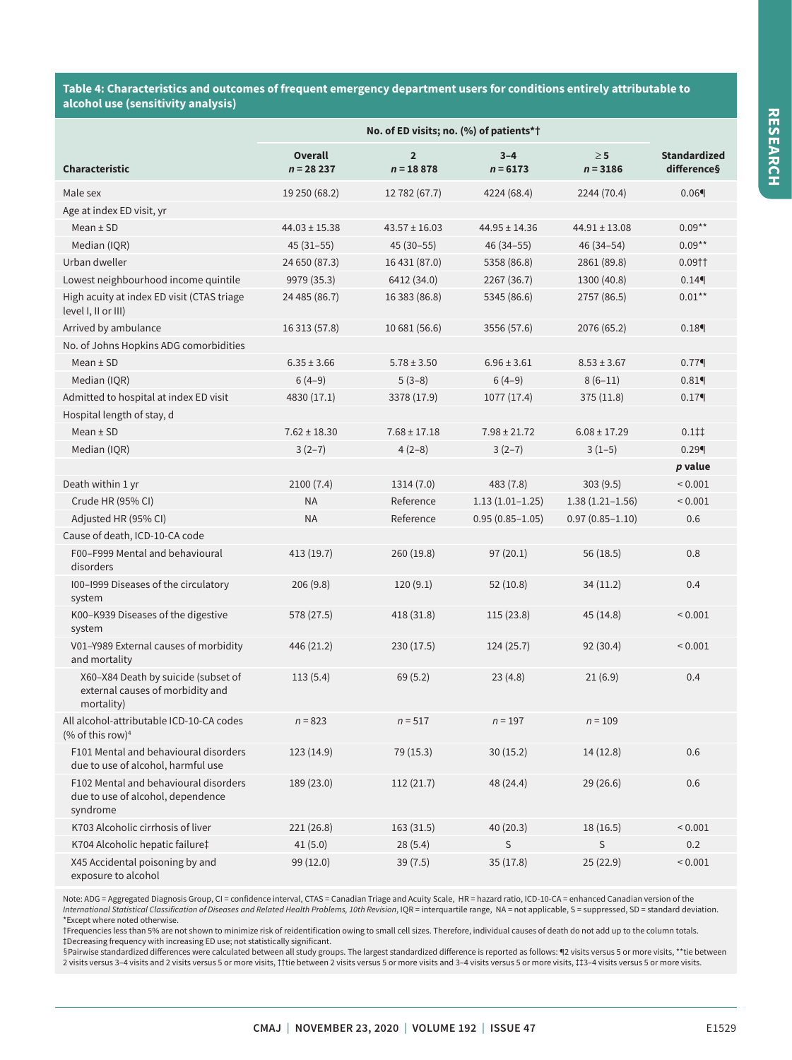**Table 4: Characteristics and outcomes of frequent emergency department users for conditions entirely attributable to alcohol use (sensitivity analysis)**

|                                                                                        | No. of ED visits; no. (%) of patients*† |                               |                       |                        |                                        |
|----------------------------------------------------------------------------------------|-----------------------------------------|-------------------------------|-----------------------|------------------------|----------------------------------------|
| <b>Characteristic</b>                                                                  | <b>Overall</b><br>$n = 28237$           | $\overline{2}$<br>$n = 18878$ | $3 - 4$<br>$n = 6173$ | $\geq 5$<br>$n = 3186$ | <b>Standardized</b><br>difference§     |
| Male sex                                                                               | 19 250 (68.2)                           | 12 782 (67.7)                 | 4224 (68.4)           | 2244 (70.4)            | $0.06$ <sup>4</sup>                    |
| Age at index ED visit, yr                                                              |                                         |                               |                       |                        |                                        |
| $Mean \pm SD$                                                                          | $44.03 \pm 15.38$                       | $43.57 \pm 16.03$             | $44.95 \pm 14.36$     | $44.91 \pm 13.08$      | $0.09**$                               |
| Median (IQR)                                                                           | $45(31-55)$                             | $45(30-55)$                   | $46(34 - 55)$         | 46 (34-54)             | $0.09**$                               |
| Urban dweller                                                                          | 24 650 (87.3)                           | 16 431 (87.0)                 | 5358 (86.8)           | 2861 (89.8)            | $0.09$ † †                             |
| Lowest neighbourhood income quintile                                                   | 9979 (35.3)                             | 6412 (34.0)                   | 2267 (36.7)           | 1300 (40.8)            | 0.14                                   |
| High acuity at index ED visit (CTAS triage<br>level I, II or III)                      | 24 485 (86.7)                           | 16 383 (86.8)                 | 5345 (86.6)           | 2757 (86.5)            | $0.01***$                              |
| Arrived by ambulance                                                                   | 16 313 (57.8)                           | 10 681 (56.6)                 | 3556 (57.6)           | 2076 (65.2)            | $0.18$ <sup><math>\P</math></sup>      |
| No. of Johns Hopkins ADG comorbidities                                                 |                                         |                               |                       |                        |                                        |
| Mean $\pm$ SD                                                                          | $6.35 \pm 3.66$                         | $5.78 \pm 3.50$               | $6.96 \pm 3.61$       | $8.53 \pm 3.67$        | 0.779                                  |
| Median (IQR)                                                                           | $6(4-9)$                                | $5(3-8)$                      | $6(4-9)$              | $8(6-11)$              | $0.81$ <sup>4</sup>                    |
| Admitted to hospital at index ED visit                                                 | 4830 (17.1)                             | 3378 (17.9)                   | 1077 (17.4)           | 375 (11.8)             | 0.17                                   |
| Hospital length of stay, d                                                             |                                         |                               |                       |                        |                                        |
| $Mean \pm SD$                                                                          | $7.62 \pm 18.30$                        | $7.68 \pm 17.18$              | $7.98 \pm 21.72$      | $6.08 \pm 17.29$       | $0.1$ <sup><math>\ddagger</math></sup> |
| Median (IQR)                                                                           | $3(2-7)$                                | $4(2-8)$                      | $3(2-7)$              | $3(1-5)$               | 0.29                                   |
|                                                                                        |                                         |                               |                       |                        | p value                                |
| Death within 1 yr                                                                      | 2100(7.4)                               | 1314 (7.0)                    | 483 (7.8)             | 303(9.5)               | ${}< 0.001$                            |
| Crude HR (95% CI)                                                                      | <b>NA</b>                               | Reference                     | $1.13(1.01-1.25)$     | $1.38(1.21 - 1.56)$    | < 0.001                                |
| Adjusted HR (95% CI)                                                                   | <b>NA</b>                               | Reference                     | $0.95(0.85 - 1.05)$   | $0.97(0.85 - 1.10)$    | 0.6                                    |
| Cause of death, ICD-10-CA code                                                         |                                         |                               |                       |                        |                                        |
| F00-F999 Mental and behavioural<br>disorders                                           | 413 (19.7)                              | 260 (19.8)                    | 97(20.1)              | 56 (18.5)              | 0.8                                    |
| I00-I999 Diseases of the circulatory<br>system                                         | 206(9.8)                                | 120(9.1)                      | 52(10.8)              | 34(11.2)               | 0.4                                    |
| K00-K939 Diseases of the digestive<br>system                                           | 578 (27.5)                              | 418 (31.8)                    | 115(23.8)             | 45 (14.8)              | < 0.001                                |
| V01-Y989 External causes of morbidity<br>and mortality                                 | 446 (21.2)                              | 230 (17.5)                    | 124(25.7)             | 92 (30.4)              | < 0.001                                |
| X60-X84 Death by suicide (subset of<br>external causes of morbidity and<br>mortality)  | 113(5.4)                                | 69(5.2)                       | 23(4.8)               | 21(6.9)                | 0.4                                    |
| All alcohol-attributable ICD-10-CA codes<br>(% of this row) <sup>4</sup>               | $n = 823$                               | $n = 517$                     | $n = 197$             | $n = 109$              |                                        |
| F101 Mental and behavioural disorders<br>due to use of alcohol, harmful use            | 123 (14.9)                              | 79 (15.3)                     | 30(15.2)              | 14(12.8)               | 0.6                                    |
| F102 Mental and behavioural disorders<br>due to use of alcohol, dependence<br>syndrome | 189 (23.0)                              | 112(21.7)                     | 48 (24.4)             | 29 (26.6)              | 0.6                                    |
| K703 Alcoholic cirrhosis of liver                                                      | 221 (26.8)                              | 163(31.5)                     | 40 (20.3)             | 18 (16.5)              | < 0.001                                |
| K704 Alcoholic hepatic failure‡                                                        | 41(5.0)                                 | 28(5.4)                       | $\mathsf S$           | S                      | 0.2                                    |
| X45 Accidental poisoning by and<br>exposure to alcohol                                 | 99 (12.0)                               | 39(7.5)                       | 35(17.8)              | 25(22.9)               | < 0.001                                |

Note: ADG = Aggregated Diagnosis Group, CI = confidence interval, CTAS = Canadian Triage and Acuity Scale, HR = hazard ratio, ICD-10-CA = enhanced Canadian version of the<br>*International Statistical Classification of Diseas* 

†Frequencies less than 5% are not shown to minimize risk of reidentification owing to small cell sizes. Therefore, individual causes of death do not add up to the column totals.<br>‡Decreasing frequency with increasing ED use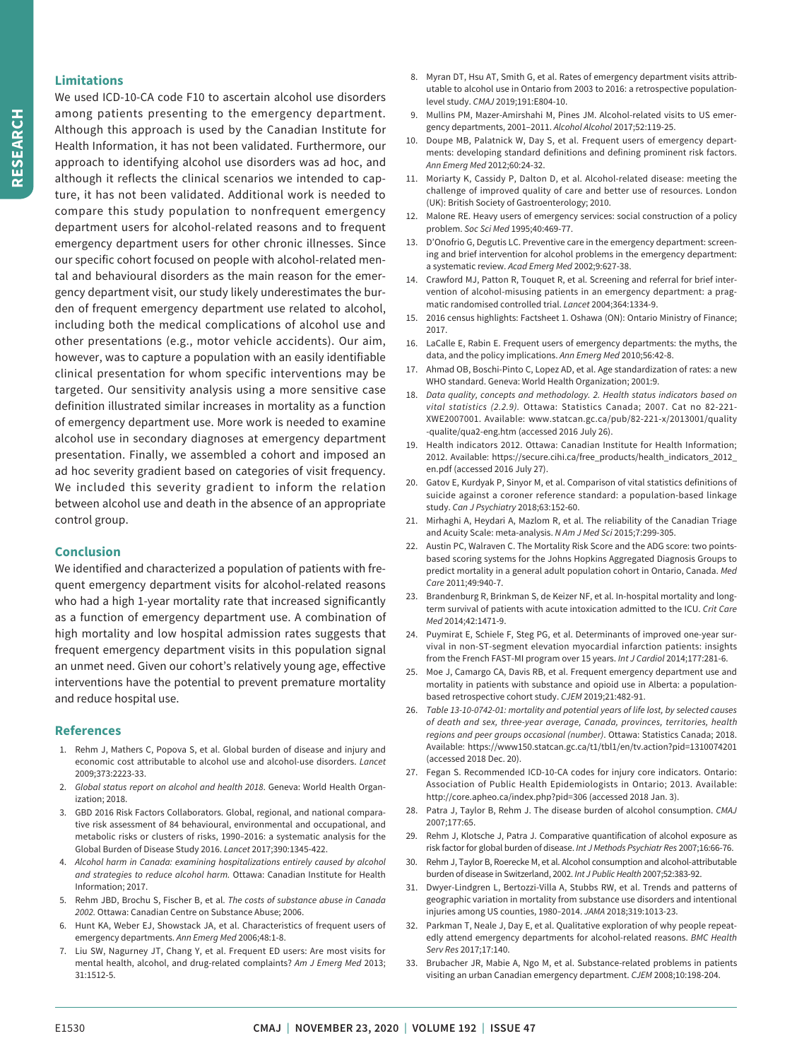# **Limitations**

We used ICD-10-CA code F10 to ascertain alcohol use disorders among patients presenting to the emergency department. Although this approach is used by the Canadian Institute for Health Information, it has not been validated. Furthermore, our approach to identifying alcohol use disorders was ad hoc, and although it reflects the clinical scenarios we intended to capture, it has not been validated. Additional work is needed to compare this study population to nonfrequent emergency department users for alcohol-related reasons and to frequent emergency department users for other chronic illnesses. Since our specific cohort focused on people with alcohol-related mental and behavioural disorders as the main reason for the emergency department visit, our study likely underestimates the burden of frequent emergency department use related to alcohol, including both the medical complications of alcohol use and other presentations (e.g., motor vehicle accidents). Our aim, however, was to capture a population with an easily identifiable clinical presentation for whom specific interventions may be targeted. Our sensitivity analysis using a more sensitive case definition illustrated similar increases in mortality as a function of emergency department use. More work is needed to examine alcohol use in secondary diagnoses at emergency department presentation. Finally, we assembled a cohort and imposed an ad hoc severity gradient based on categories of visit frequency. We included this severity gradient to inform the relation between alcohol use and death in the absence of an appropriate control group.

# **Conclusion**

We identified and characterized a population of patients with frequent emergency department visits for alcohol-related reasons who had a high 1-year mortality rate that increased significantly as a function of emergency department use. A combination of high mortality and low hospital admission rates suggests that frequent emergency department visits in this population signal an unmet need. Given our cohort's relatively young age, effective interventions have the potential to prevent premature mortality and reduce hospital use.

#### **References**

- 1. Rehm J, Mathers C, Popova S, et al. Global burden of disease and injury and economic cost attributable to alcohol use and alcohol-use disorders. *Lancet* 2009;373:2223-33.
- 2. *Global status report on alcohol and health 2018*. Geneva: World Health Organization; 2018.
- 3. GBD 2016 Risk Factors Collaborators. Global, regional, and national comparative risk assessment of 84 behavioural, environmental and occupational, and metabolic risks or clusters of risks, 1990–2016: a systematic analysis for the Global Burden of Disease Study 2016. *Lancet* 2017;390:1345-422.
- 4. *Alcohol harm in Canada: examining hospitalizations entirely caused by alcohol and strategies to reduce alcohol harm.* Ottawa: Canadian Institute for Health Information; 2017.
- 5. Rehm JBD, Brochu S, Fischer B, et al. *The costs of substance abuse in Canada 2002.* Ottawa: Canadian Centre on Substance Abuse; 2006.
- 6. Hunt KA, Weber EJ, Showstack JA, et al. Characteristics of frequent users of emergency departments. *Ann Emerg Med* 2006;48:1-8.
- 7. Liu SW, Nagurney JT, Chang Y, et al. Frequent ED users: Are most visits for mental health, alcohol, and drug-related complaints? *Am J Emerg Med* 2013; 31:1512-5.
- 8. Myran DT, Hsu AT, Smith G, et al. Rates of emergency department visits attributable to alcohol use in Ontario from 2003 to 2016: a retrospective populationlevel study. *CMAJ* 2019;191:E804-10.
- 9. Mullins PM, Mazer-Amirshahi M, Pines JM. Alcohol-related visits to US emergency departments, 2001–2011. *Alcohol Alcohol* 2017;52:119-25.
- 10. Doupe MB, Palatnick W, Day S, et al. Frequent users of emergency departments: developing standard definitions and defining prominent risk factors. *Ann Emerg Med* 2012;60:24-32.
- 11. Moriarty K, Cassidy P, Dalton D, et al. Alcohol-related disease: meeting the challenge of improved quality of care and better use of resources. London (UK): British Society of Gastroenterology; 2010.
- 12. Malone RE. Heavy users of emergency services: social construction of a policy problem. *Soc Sci Med* 1995;40:469-77.
- 13. D'Onofrio G, Degutis LC. Preventive care in the emergency department: screening and brief intervention for alcohol problems in the emergency department: a systematic review. *Acad Emerg Med* 2002;9:627-38.
- 14. Crawford MJ, Patton R, Touquet R, et al. Screening and referral for brief intervention of alcohol-misusing patients in an emergency department: a pragmatic randomised controlled trial. *Lancet* 2004;364:1334-9.
- 15. 2016 census highlights: Factsheet 1. Oshawa (ON): Ontario Ministry of Finance; 2017.
- 16. LaCalle E, Rabin E. Frequent users of emergency departments: the myths, the data, and the policy implications. *Ann Emerg Med* 2010;56:42-8.
- 17. Ahmad OB, Boschi-Pinto C, Lopez AD, et al. Age standardization of rates: a new WHO standard. Geneva: World Health Organization; 2001:9.
- 18. *Data quality, concepts and methodology. 2. Health status indicators based on vital statistics (2.2.9).* Ottawa: Statistics Canada; 2007. Cat no 82-221- XWE2007001. Available: www.statcan.gc.ca/pub/82-221-x/2013001/quality -qualite/qua2-eng.htm (accessed 2016 July 26).
- 19. Health indicators 2012. Ottawa: Canadian Institute for Health Information; 2012. Available: https://secure.cihi.ca/free\_products/health\_indicators\_2012\_ en.pdf (accessed 2016 July 27).
- 20. Gatov E, Kurdyak P, Sinyor M, et al. Comparison of vital statistics definitions of suicide against a coroner reference standard: a population-based linkage study. *Can J Psychiatry* 2018;63:152-60.
- 21. Mirhaghi A, Heydari A, Mazlom R, et al. The reliability of the Canadian Triage and Acuity Scale: meta-analysis. *N Am J Med Sci* 2015;7:299-305.
- 22. Austin PC, Walraven C. The Mortality Risk Score and the ADG score: two pointsbased scoring systems for the Johns Hopkins Aggregated Diagnosis Groups to predict mortality in a general adult population cohort in Ontario, Canada. *Med Care* 2011;49:940-7.
- 23. Brandenburg R, Brinkman S, de Keizer NF, et al. In-hospital mortality and longterm survival of patients with acute intoxication admitted to the ICU. *Crit Care Med* 2014;42:1471-9.
- 24. Puymirat E, Schiele F, Steg PG, et al. Determinants of improved one-year survival in non-ST-segment elevation myocardial infarction patients: insights from the French FAST-MI program over 15 years. *Int J Cardiol* 2014;177:281-6.
- 25. Moe J, Camargo CA, Davis RB, et al. Frequent emergency department use and mortality in patients with substance and opioid use in Alberta: a populationbased retrospective cohort study. *CJEM* 2019;21:482-91.
- 26. *Table 13-10-0742-01: mortality and potential years of life lost, by selected causes of death and sex, three-year average, Canada, provinces, territories, health regions and peer groups occasional (number)*. Ottawa: Statistics Canada; 2018. Available: https://www150.statcan.gc.ca/t1/tbl1/en/tv.action?pid=1310074201 (accessed 2018 Dec. 20).
- 27. Fegan S. Recommended ICD-10-CA codes for injury core indicators. Ontario: Association of Public Health Epidemiologists in Ontario; 2013. Available: http://core.apheo.ca/index.php?pid=306 (accessed 2018 Jan. 3).
- 28. Patra J, Taylor B, Rehm J. The disease burden of alcohol consumption. *CMAJ* 2007;177:65.
- 29. Rehm J, Klotsche J, Patra J. Comparative quantification of alcohol exposure as risk factor for global burden of disease. *Int J Methods Psychiatr Res* 2007;16:66-76.
- 30. Rehm J, Taylor B, Roerecke M, et al. Alcohol consumption and alcohol-attributable burden of disease in Switzerland, 2002. *Int J Public Health* 2007;52:383-92.
- 31. Dwyer-Lindgren L, Bertozzi-Villa A, Stubbs RW, et al. Trends and patterns of geographic variation in mortality from substance use disorders and intentional injuries among US counties, 1980–2014. *JAMA* 2018;319:1013-23.
- 32. Parkman T, Neale J, Day E, et al. Qualitative exploration of why people repeatedly attend emergency departments for alcohol-related reasons. *BMC Health Serv Res* 2017;17:140.
- 33. Brubacher JR, Mabie A, Ngo M, et al. Substance-related problems in patients visiting an urban Canadian emergency department. *CJEM* 2008;10:198-204.